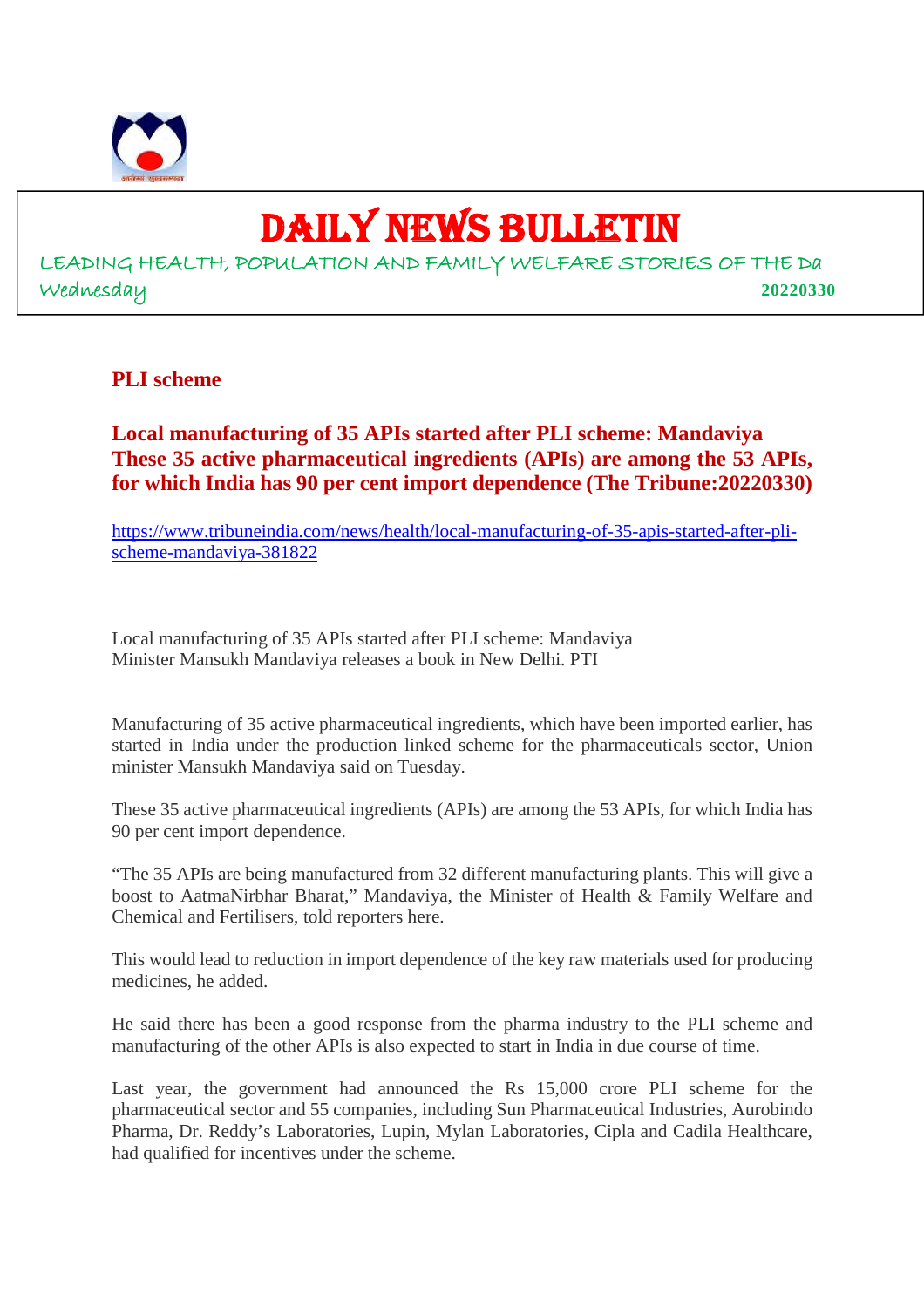

# DAILY NEWS BULLETIN

LEADING HEALTH, POPULATION AND FAMILY WELFARE STORIES OF THE Da Wednesday **20220330**

# **PLI scheme**

# **Local manufacturing of 35 APIs started after PLI scheme: Mandaviya These 35 active pharmaceutical ingredients (APIs) are among the 53 APIs, for which India has 90 per cent import dependence (The Tribune:20220330)**

https://www.tribuneindia.com/news/health/local-manufacturing-of-35-apis-started-after-plischeme-mandaviya-381822

Local manufacturing of 35 APIs started after PLI scheme: Mandaviya Minister Mansukh Mandaviya releases a book in New Delhi. PTI

Manufacturing of 35 active pharmaceutical ingredients, which have been imported earlier, has started in India under the production linked scheme for the pharmaceuticals sector, Union minister Mansukh Mandaviya said on Tuesday.

These 35 active pharmaceutical ingredients (APIs) are among the 53 APIs, for which India has 90 per cent import dependence.

"The 35 APIs are being manufactured from 32 different manufacturing plants. This will give a boost to AatmaNirbhar Bharat," Mandaviya, the Minister of Health & Family Welfare and Chemical and Fertilisers, told reporters here.

This would lead to reduction in import dependence of the key raw materials used for producing medicines, he added.

He said there has been a good response from the pharma industry to the PLI scheme and manufacturing of the other APIs is also expected to start in India in due course of time.

Last year, the government had announced the Rs 15,000 crore PLI scheme for the pharmaceutical sector and 55 companies, including Sun Pharmaceutical Industries, Aurobindo Pharma, Dr. Reddy's Laboratories, Lupin, Mylan Laboratories, Cipla and Cadila Healthcare, had qualified for incentives under the scheme.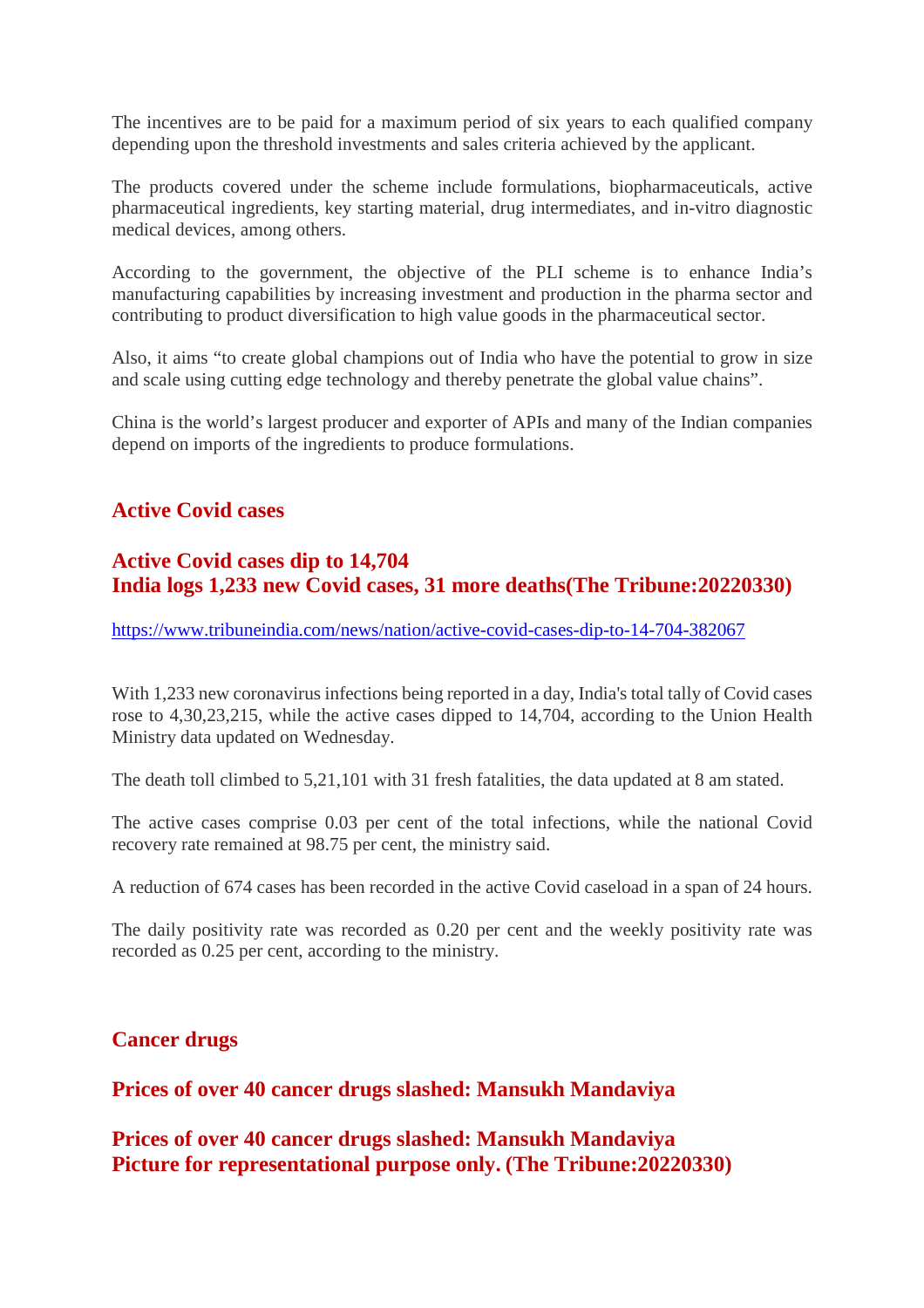The incentives are to be paid for a maximum period of six years to each qualified company depending upon the threshold investments and sales criteria achieved by the applicant.

The products covered under the scheme include formulations, biopharmaceuticals, active pharmaceutical ingredients, key starting material, drug intermediates, and in-vitro diagnostic medical devices, among others.

According to the government, the objective of the PLI scheme is to enhance India's manufacturing capabilities by increasing investment and production in the pharma sector and contributing to product diversification to high value goods in the pharmaceutical sector.

Also, it aims "to create global champions out of India who have the potential to grow in size and scale using cutting edge technology and thereby penetrate the global value chains".

China is the world's largest producer and exporter of APIs and many of the Indian companies depend on imports of the ingredients to produce formulations.

# **Active Covid cases**

# **Active Covid cases dip to 14,704 India logs 1,233 new Covid cases, 31 more deaths(The Tribune:20220330)**

https://www.tribuneindia.com/news/nation/active-covid-cases-dip-to-14-704-382067

With 1,233 new coronavirus infections being reported in a day, India's total tally of Covid cases rose to 4,30,23,215, while the active cases dipped to 14,704, according to the Union Health Ministry data updated on Wednesday.

The death toll climbed to 5,21,101 with 31 fresh fatalities, the data updated at 8 am stated.

The active cases comprise 0.03 per cent of the total infections, while the national Covid recovery rate remained at 98.75 per cent, the ministry said.

A reduction of 674 cases has been recorded in the active Covid caseload in a span of 24 hours.

The daily positivity rate was recorded as 0.20 per cent and the weekly positivity rate was recorded as 0.25 per cent, according to the ministry.

# **Cancer drugs**

**Prices of over 40 cancer drugs slashed: Mansukh Mandaviya**

**Prices of over 40 cancer drugs slashed: Mansukh Mandaviya Picture for representational purpose only. (The Tribune:20220330)**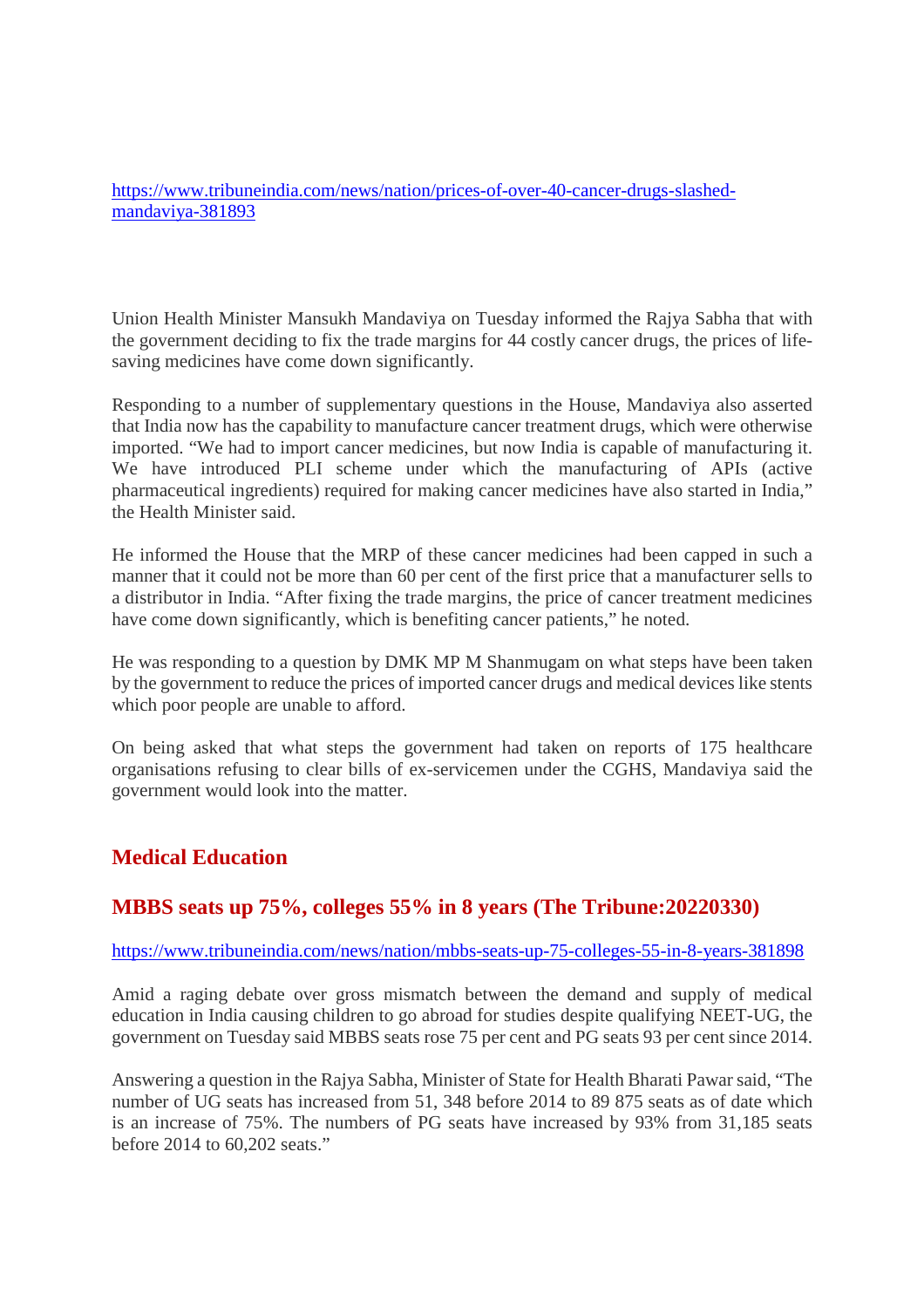https://www.tribuneindia.com/news/nation/prices-of-over-40-cancer-drugs-slashedmandaviya-381893

Union Health Minister Mansukh Mandaviya on Tuesday informed the Rajya Sabha that with the government deciding to fix the trade margins for 44 costly cancer drugs, the prices of lifesaving medicines have come down significantly.

Responding to a number of supplementary questions in the House, Mandaviya also asserted that India now has the capability to manufacture cancer treatment drugs, which were otherwise imported. "We had to import cancer medicines, but now India is capable of manufacturing it. We have introduced PLI scheme under which the manufacturing of APIs (active pharmaceutical ingredients) required for making cancer medicines have also started in India," the Health Minister said.

He informed the House that the MRP of these cancer medicines had been capped in such a manner that it could not be more than 60 per cent of the first price that a manufacturer sells to a distributor in India. "After fixing the trade margins, the price of cancer treatment medicines have come down significantly, which is benefiting cancer patients," he noted.

He was responding to a question by DMK MP M Shanmugam on what steps have been taken by the government to reduce the prices of imported cancer drugs and medical devices like stents which poor people are unable to afford.

On being asked that what steps the government had taken on reports of 175 healthcare organisations refusing to clear bills of ex-servicemen under the CGHS, Mandaviya said the government would look into the matter.

# **Medical Education**

# **MBBS seats up 75%, colleges 55% in 8 years (The Tribune:20220330)**

## https://www.tribuneindia.com/news/nation/mbbs-seats-up-75-colleges-55-in-8-years-381898

Amid a raging debate over gross mismatch between the demand and supply of medical education in India causing children to go abroad for studies despite qualifying NEET-UG, the government on Tuesday said MBBS seats rose 75 per cent and PG seats 93 per cent since 2014.

Answering a question in the Rajya Sabha, Minister of State for Health Bharati Pawar said, "The number of UG seats has increased from 51, 348 before 2014 to 89 875 seats as of date which is an increase of 75%. The numbers of PG seats have increased by 93% from 31,185 seats before 2014 to 60,202 seats."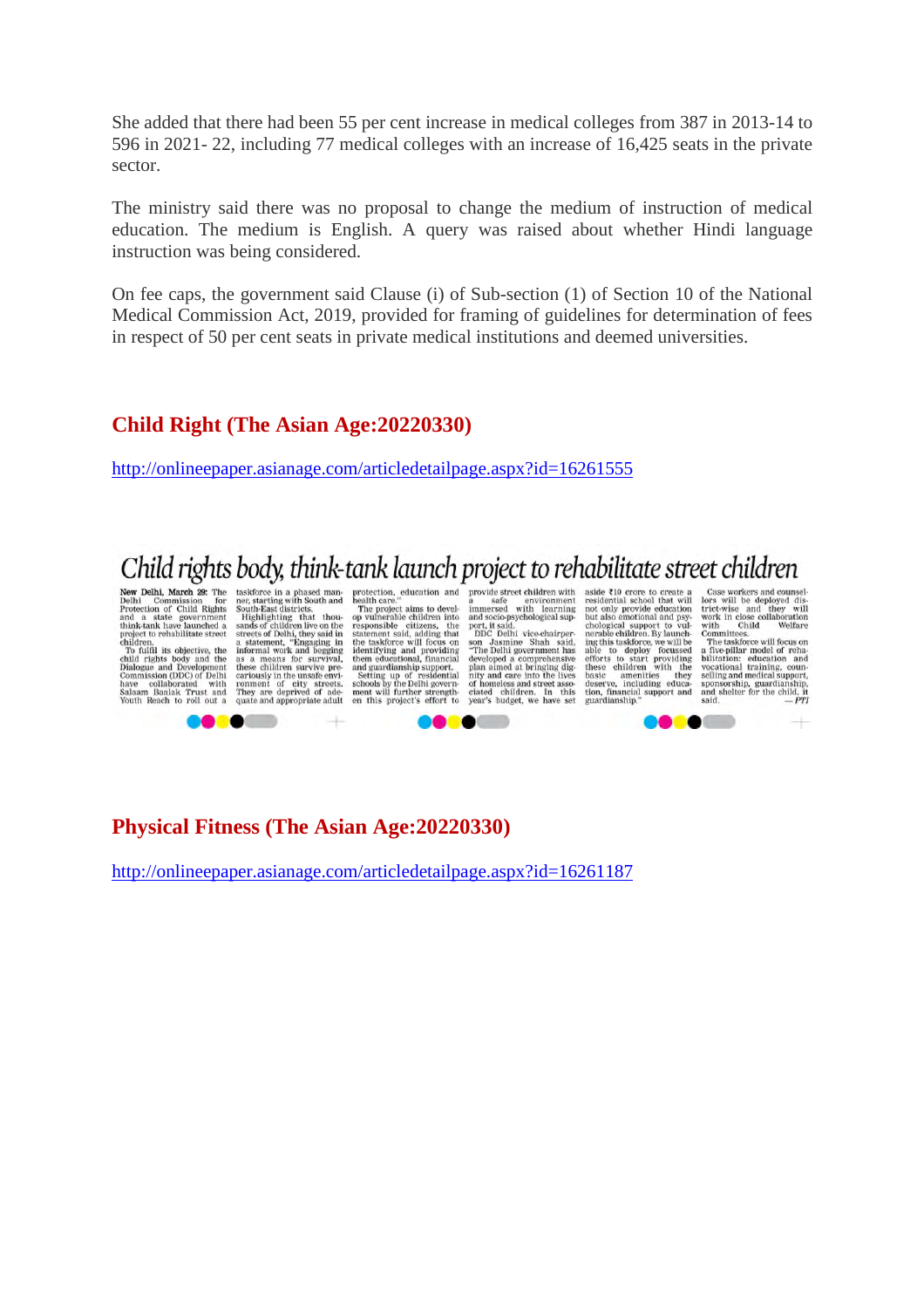She added that there had been 55 per cent increase in medical colleges from 387 in 2013-14 to 596 in 2021- 22, including 77 medical colleges with an increase of 16,425 seats in the private sector.

The ministry said there was no proposal to change the medium of instruction of medical education. The medium is English. A query was raised about whether Hindi language instruction was being considered.

On fee caps, the government said Clause (i) of Sub-section (1) of Section 10 of the National Medical Commission Act, 2019, provided for framing of guidelines for determination of fees in respect of 50 per cent seats in private medical institutions and deemed universities.

## **Child Right (The Asian Age:20220330)**

http://onlineepaper.asianage.com/articledetailpage.aspx?id=16261555

# Child rights body, think-tank launch project to rehabilitate street children

**Contract Property**<br>
New Delhi Commission for<br>
New Delhi Commission for<br>
and a state government<br>
and a state government<br>
childrenn is objective, the<br>
To full in the child rights body and the<br>
Commission (DDC) of Delhi<br>
Dia

e or

**EVOLUS** CHEFTLE THE RESERVED TO THE RESERVED TO THE RESERVED SERVED SERVED SERVED SERVED SERVED TO THE ANNOUNCED TO THE AND INTERNATIONAL THE SERVED TO THE CHAPT THAT THE CHAPT THAT THE THAT THE THAT THE THAT THE THAT THA

The project aims to devel-<br>op vulnerable children into op vulnerable children into<br>responsible children into<br>responsible citizens, the<br>statement said, adding that<br>identifying and providing the<br>identifying and providing<br>them educational, financial<br>anguage and gradianship suppor

protection, education and provide street children with<br>health care." safe environment aside ₹10 crore to create a<br>residential school that will provide street children with<br>a safe environment<br>immersed with learning<br>and socio-psychological sup-

Case workers and counsel-<br>lors will be deployed dis-<br>trict-wise and they will<br>work in close collaboration<br>with Child Welfare<br>Committees.<br>The taskforce will focus on

work in close collaboration with Chair Committees.<br>Committees The The stake of the Scheme of the Scheme in bilitation: education and<br>bilitation: education and vocational training, counselling<br>spoins sponsorship, guardians

**CONTRACTOR** 

eon

and socio-psychological sup-<br>not socio-psychological sup-<br>DDC Delhi vice-chairper-<br>son Jasmine Shah said,<br>the Delhi government has<br>developed a comprehensive<br>plan aimed at bringing dignating<br>in a media super-<br>of homeless an

residential school that will not only provide education<br>but also contoinal and psychological support to vul-<br>and psychological support of vul-<br>nerable chidren. By launch-<br>ing this taskforce, we will be<br>also deploy focussed

**Physical Fitness (The Asian Age:20220330)**

http://onlineepaper.asianage.com/articledetailpage.aspx?id=16261187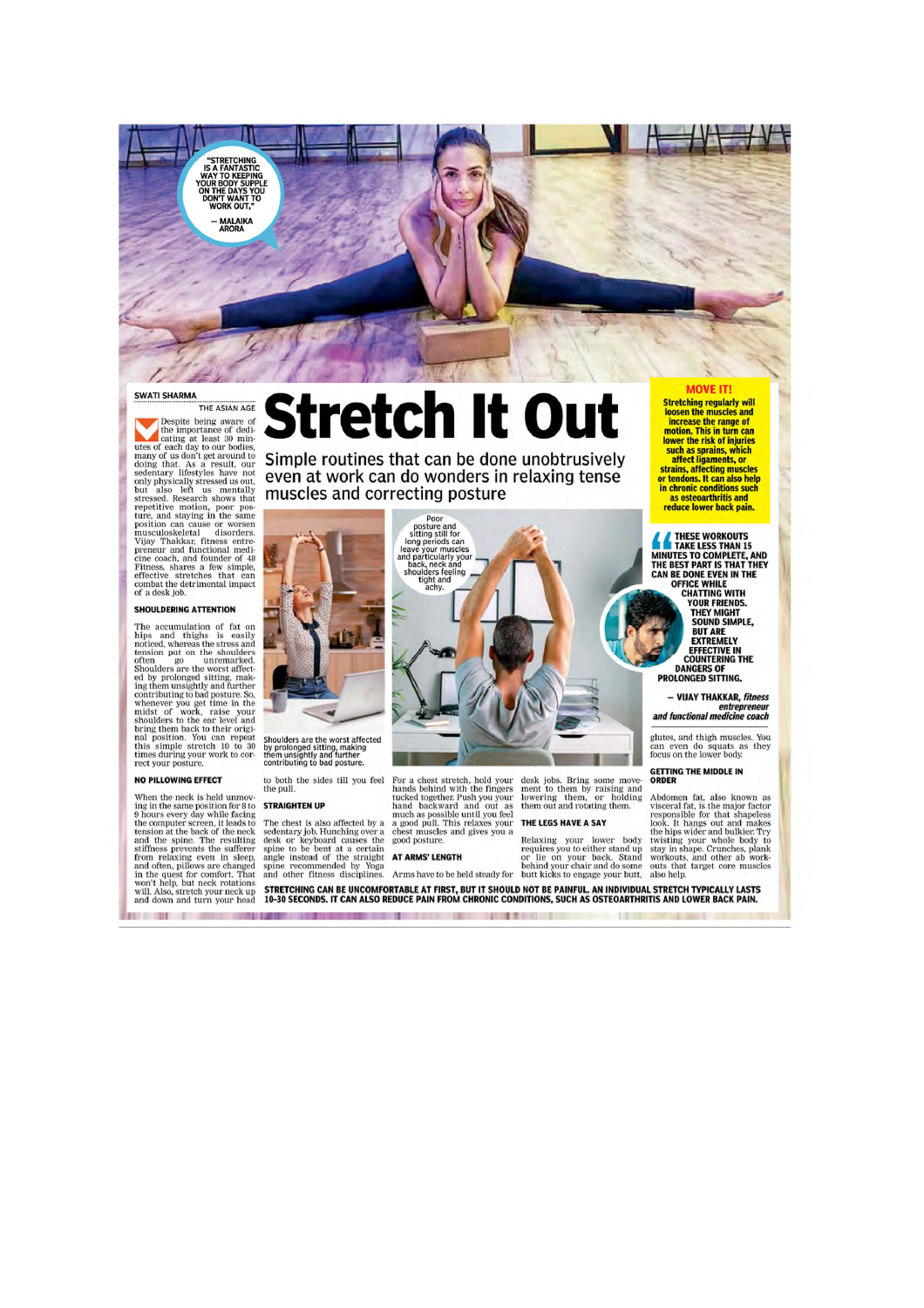

#### **SWATI SHARMA**

THE ASIAN AGE

THE ASIAN AGE<br>
THE ASIAN AGE<br>
The people being avare of<br>
the importance of dedi-<br>
utes of each day to our boties,<br>
many of us don't get around to<br>
our both gedant, and the seed<br>
being that are not but also left us mentally

### SHOULDERING ATTENTION

The accumulation of fat on<br>hips and thighs is easily<br>noticed, whereas the stress and<br>tension put on the shoulders<br>often go unremarked noticeal, whereas the states are<br>form go unremarked, tension put on the shoulders Shoulders are the worst affected<br>in going and the more state in the shoulders are the worst affect-<br>ing them unsightly and further<br>contribut

#### NO PILLOWING FEFECT

**CONTRACTOR** 

to PILLOWING EFFECT<br>to the new the pull.<br>They in the same position for 8 to **STRAIGHTEN UP**<br>ing in the same position for 8 to **STRAIGHTEN UP**<br>the computer screen, it leads to the check is also<br>tension at the back of the ne

\_\_\_\_\_

# Stretch It Out

Simple routines that can be done unobtrusively even at work can do wonders in relaxing tense muscles and correcting posture  $\frac{1}{2}$   $\frac{1}{2}$ <br>  $\frac{1}{2}$ <br>  $\frac{1}{2}$ <br>  $\frac{1}{2}$ <br>  $\frac{1}{2}$ <br>  $\frac{1}{2}$ <br>  $\frac{1}{2}$ <br>  $\frac{1}{2}$ <br>  $\frac{1}{2}$ <br>  $\frac{1}{2}$ <br>  $\frac{1}{2}$ <br>  $\frac{1}{2}$ <br>  $\frac{1}{2}$ <br>  $\frac{1}{2}$ <br>  $\frac{1}{2}$ <br>  $\frac{1}{2}$ <br>  $\frac{1}{2}$ <br>  $\frac{1}{2}$ <br>  $\frac{1}{2}$ <br>  $\$ 



Shoulders are the worst affected<br>by prolonged sitting, making<br>them unsightly and further<br>contributing to bad posture.

# to both the sides till you feel the pull.  $\,$

desk jobs. Bring some move-<br>ment to them by raising and<br>lowering them, or holding<br>them out and rotating them.

### THE LEGS HAVE A SAY

115

**Stretching regularly will** loosen the muscles and loosen the muscles and<br>increase the range of<br>motion. This in turn can<br>lower the risk of injuries<br>such as sprains, which<br>affect ligaments, or arians, affecting muscles<br>or tendons. It can also help<br>in chronic conditions such<br>as osteoarthritis and

**MOVE IT!** 

reduce lower back pain.

THESE WORKOUTS<br>
INNUTES TO COMPLETE, AND<br>
THE BEST PART IS THAT THEY<br>
CAN BE DONE EVEN IN THE<br>
CAN BE DONE EVEN IN THE<br>
CHATTING WITH<br>
YOUR FRIENDS.<br>
THEY MIGHT<br>
TOUR FRIENDS.<br>
THEY MIGHT SOUND SIMPLE. **BUT ARE**<br>EXTREMELY EFFECTIVE IN<br>COUNTERING THE<br>DANGERS OF<br>PROLONGED SITTING.

### - VIJAY THAKKAR, fitness entrepreneur<br>and functional medicine coach

glutes, and thigh muscles. You<br>can even do squats as they<br>focus on the lower body.

GETTING THE MIDDLE IN

Abdomen fat, also known as<br>visceral fat, is the major factor<br>responsible for that shapeles<br>look. It hangs out and makes<br>the hips wider and bulkier. Try<br>twisting your whole body to<br>stay in shape. Crunches, plank<br>workouts,

The chest is also affected by a and a possible used<br>entary job. Hunching over a chest muscles and desk or keyboard causes the good posture.<br>Since to be bent at a certain angle instead of the strain applie to be bent at a

For a chest stretch, hold your<br>hands behind with the fingers<br>tucked together. Push you your<br>hand backward and out as<br>much as possible until you feel<br>a good pull. This relaxes your<br>chest much say of a good pull. This relaxe

STRETCHING CAN BE UNCOMFORTABLE AT FIRST, BUT IT SHOULD NOT BE PAINFUL. AN INDIVIDUAL STRETCH TYPICALLY LASTS<br>10–30 SECONDS. IT CAN ALSO REDUCE PAIN FROM CHRONIC CONDITIONS, SUCH AS OSTEOARTHRITIS AND LOWER BACK PAIN.

**BEER PRESERVED FOR SHOPLIFTING**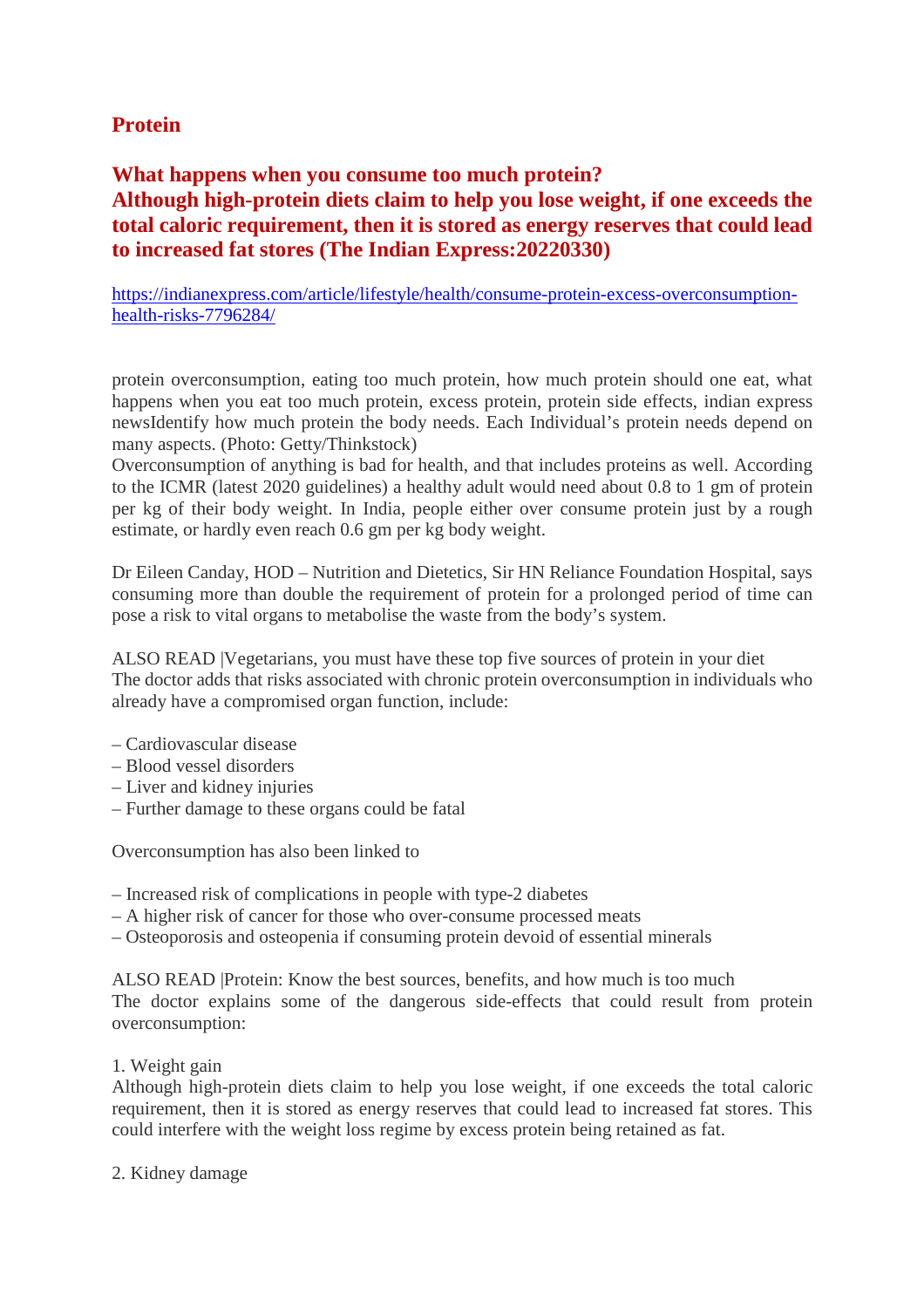# **Protein**

# **What happens when you consume too much protein? Although high-protein diets claim to help you lose weight, if one exceeds the total caloric requirement, then it is stored as energy reserves that could lead to increased fat stores (The Indian Express:20220330)**

https://indianexpress.com/article/lifestyle/health/consume-protein-excess-overconsumptionhealth-risks-7796284/

protein overconsumption, eating too much protein, how much protein should one eat, what happens when you eat too much protein, excess protein, protein side effects, indian express newsIdentify how much protein the body needs. Each Individual's protein needs depend on many aspects. (Photo: Getty/Thinkstock)

Overconsumption of anything is bad for health, and that includes proteins as well. According to the ICMR (latest 2020 guidelines) a healthy adult would need about 0.8 to 1 gm of protein per kg of their body weight. In India, people either over consume protein just by a rough estimate, or hardly even reach 0.6 gm per kg body weight.

Dr Eileen Canday, HOD – Nutrition and Dietetics, Sir HN Reliance Foundation Hospital, says consuming more than double the requirement of protein for a prolonged period of time can pose a risk to vital organs to metabolise the waste from the body's system.

ALSO READ |Vegetarians, you must have these top five sources of protein in your diet The doctor adds that risks associated with chronic protein overconsumption in individuals who already have a compromised organ function, include:

- Cardiovascular disease
- Blood vessel disorders
- Liver and kidney injuries
- Further damage to these organs could be fatal

Overconsumption has also been linked to

- Increased risk of complications in people with type-2 diabetes
- A higher risk of cancer for those who over-consume processed meats
- Osteoporosis and osteopenia if consuming protein devoid of essential minerals

ALSO READ |Protein: Know the best sources, benefits, and how much is too much The doctor explains some of the dangerous side-effects that could result from protein overconsumption:

# 1. Weight gain

Although high-protein diets claim to help you lose weight, if one exceeds the total caloric requirement, then it is stored as energy reserves that could lead to increased fat stores. This could interfere with the weight loss regime by excess protein being retained as fat.

2. Kidney damage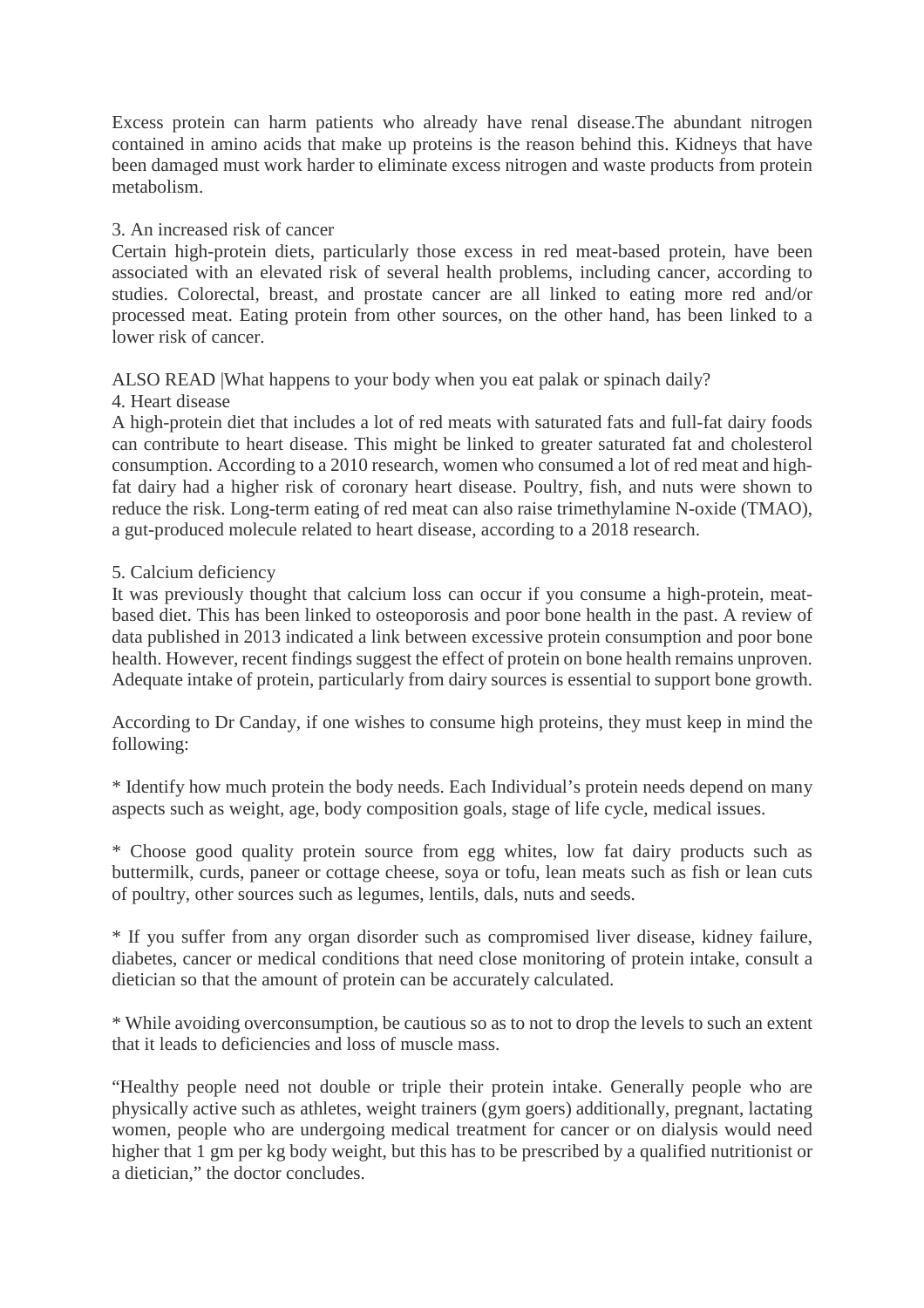Excess protein can harm patients who already have renal disease.The abundant nitrogen contained in amino acids that make up proteins is the reason behind this. Kidneys that have been damaged must work harder to eliminate excess nitrogen and waste products from protein metabolism.

# 3. An increased risk of cancer

Certain high-protein diets, particularly those excess in red meat-based protein, have been associated with an elevated risk of several health problems, including cancer, according to studies. Colorectal, breast, and prostate cancer are all linked to eating more red and/or processed meat. Eating protein from other sources, on the other hand, has been linked to a lower risk of cancer.

ALSO READ |What happens to your body when you eat palak or spinach daily?

4. Heart disease

A high-protein diet that includes a lot of red meats with saturated fats and full-fat dairy foods can contribute to heart disease. This might be linked to greater saturated fat and cholesterol consumption. According to a 2010 research, women who consumed a lot of red meat and highfat dairy had a higher risk of coronary heart disease. Poultry, fish, and nuts were shown to reduce the risk. Long-term eating of red meat can also raise trimethylamine N-oxide (TMAO), a gut-produced molecule related to heart disease, according to a 2018 research.

# 5. Calcium deficiency

It was previously thought that calcium loss can occur if you consume a high-protein, meatbased diet. This has been linked to osteoporosis and poor bone health in the past. A review of data published in 2013 indicated a link between excessive protein consumption and poor bone health. However, recent findings suggest the effect of protein on bone health remains unproven. Adequate intake of protein, particularly from dairy sources is essential to support bone growth.

According to Dr Canday, if one wishes to consume high proteins, they must keep in mind the following:

\* Identify how much protein the body needs. Each Individual's protein needs depend on many aspects such as weight, age, body composition goals, stage of life cycle, medical issues.

\* Choose good quality protein source from egg whites, low fat dairy products such as buttermilk, curds, paneer or cottage cheese, soya or tofu, lean meats such as fish or lean cuts of poultry, other sources such as legumes, lentils, dals, nuts and seeds.

\* If you suffer from any organ disorder such as compromised liver disease, kidney failure, diabetes, cancer or medical conditions that need close monitoring of protein intake, consult a dietician so that the amount of protein can be accurately calculated.

\* While avoiding overconsumption, be cautious so as to not to drop the levels to such an extent that it leads to deficiencies and loss of muscle mass.

"Healthy people need not double or triple their protein intake. Generally people who are physically active such as athletes, weight trainers (gym goers) additionally, pregnant, lactating women, people who are undergoing medical treatment for cancer or on dialysis would need higher that 1 gm per kg body weight, but this has to be prescribed by a qualified nutritionist or a dietician," the doctor concludes.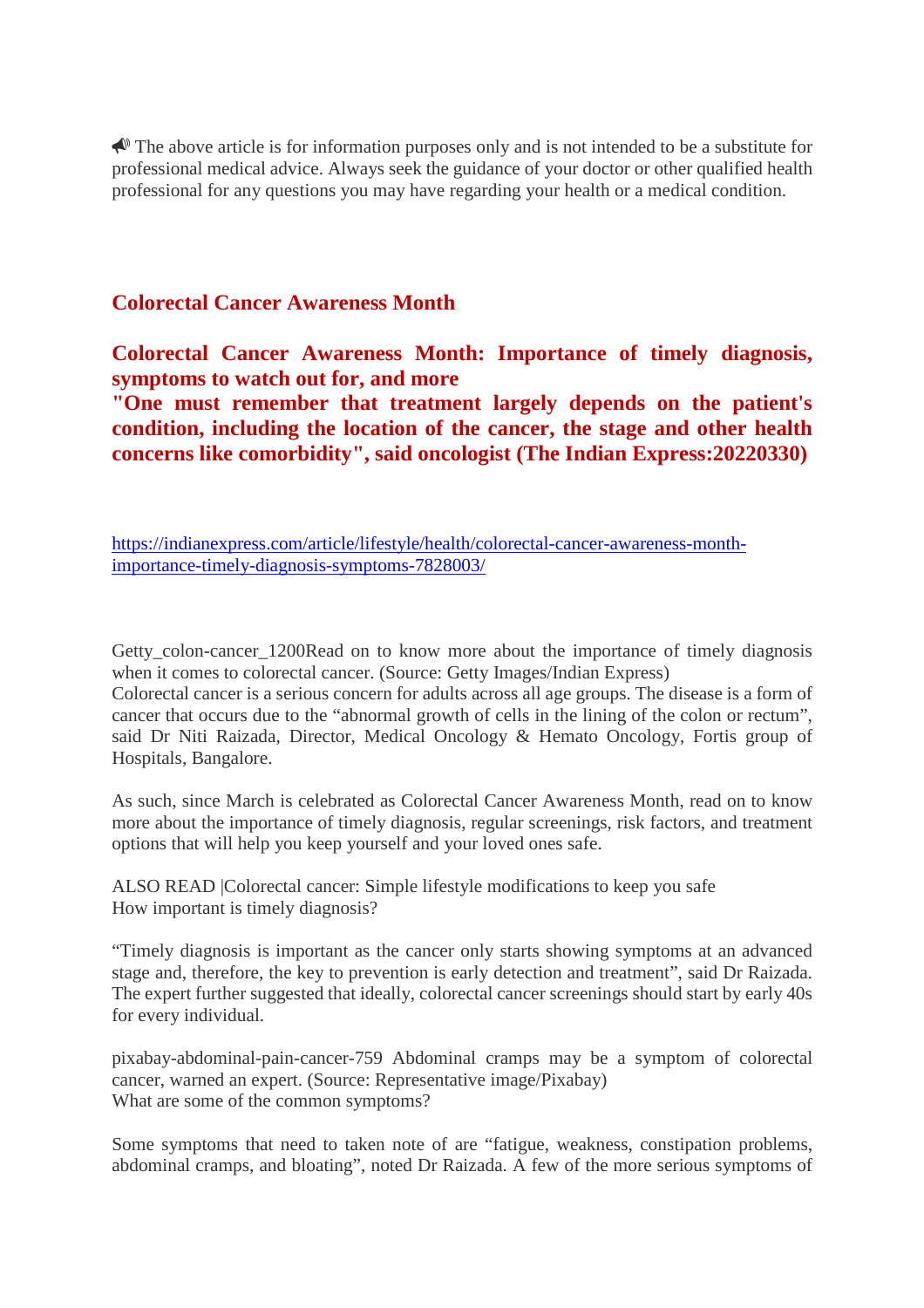$\triangle$  The above article is for information purposes only and is not intended to be a substitute for professional medical advice. Always seek the guidance of your doctor or other qualified health professional for any questions you may have regarding your health or a medical condition.

# **Colorectal Cancer Awareness Month**

**Colorectal Cancer Awareness Month: Importance of timely diagnosis, symptoms to watch out for, and more**

**"One must remember that treatment largely depends on the patient's condition, including the location of the cancer, the stage and other health concerns like comorbidity", said oncologist (The Indian Express:20220330)**

https://indianexpress.com/article/lifestyle/health/colorectal-cancer-awareness-monthimportance-timely-diagnosis-symptoms-7828003/

Getty\_colon-cancer\_1200Read on to know more about the importance of timely diagnosis when it comes to colorectal cancer. (Source: Getty Images/Indian Express)

Colorectal cancer is a serious concern for adults across all age groups. The disease is a form of cancer that occurs due to the "abnormal growth of cells in the lining of the colon or rectum", said Dr Niti Raizada, Director, Medical Oncology & Hemato Oncology, Fortis group of Hospitals, Bangalore.

As such, since March is celebrated as Colorectal Cancer Awareness Month, read on to know more about the importance of timely diagnosis, regular screenings, risk factors, and treatment options that will help you keep yourself and your loved ones safe.

ALSO READ |Colorectal cancer: Simple lifestyle modifications to keep you safe How important is timely diagnosis?

"Timely diagnosis is important as the cancer only starts showing symptoms at an advanced stage and, therefore, the key to prevention is early detection and treatment", said Dr Raizada. The expert further suggested that ideally, colorectal cancer screenings should start by early 40s for every individual.

pixabay-abdominal-pain-cancer-759 Abdominal cramps may be a symptom of colorectal cancer, warned an expert. (Source: Representative image/Pixabay) What are some of the common symptoms?

Some symptoms that need to taken note of are "fatigue, weakness, constipation problems, abdominal cramps, and bloating", noted Dr Raizada. A few of the more serious symptoms of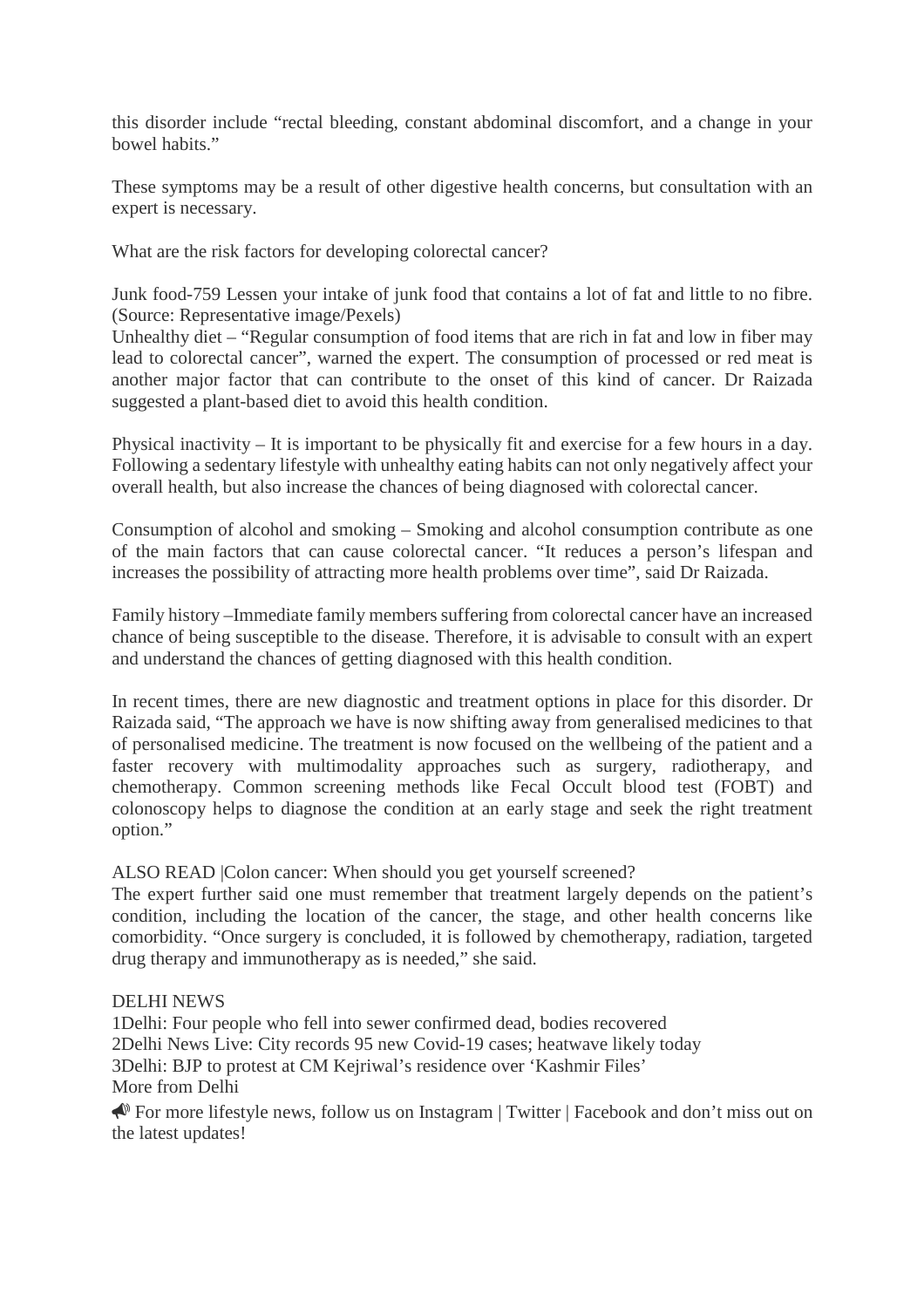this disorder include "rectal bleeding, constant abdominal discomfort, and a change in your bowel habits."

These symptoms may be a result of other digestive health concerns, but consultation with an expert is necessary.

What are the risk factors for developing colorectal cancer?

Junk food-759 Lessen your intake of junk food that contains a lot of fat and little to no fibre. (Source: Representative image/Pexels)

Unhealthy diet – "Regular consumption of food items that are rich in fat and low in fiber may lead to colorectal cancer", warned the expert. The consumption of processed or red meat is another major factor that can contribute to the onset of this kind of cancer. Dr Raizada suggested a plant-based diet to avoid this health condition.

Physical inactivity – It is important to be physically fit and exercise for a few hours in a day. Following a sedentary lifestyle with unhealthy eating habits can not only negatively affect your overall health, but also increase the chances of being diagnosed with colorectal cancer.

Consumption of alcohol and smoking – Smoking and alcohol consumption contribute as one of the main factors that can cause colorectal cancer. "It reduces a person's lifespan and increases the possibility of attracting more health problems over time", said Dr Raizada.

Family history –Immediate family members suffering from colorectal cancer have an increased chance of being susceptible to the disease. Therefore, it is advisable to consult with an expert and understand the chances of getting diagnosed with this health condition.

In recent times, there are new diagnostic and treatment options in place for this disorder. Dr Raizada said, "The approach we have is now shifting away from generalised medicines to that of personalised medicine. The treatment is now focused on the wellbeing of the patient and a faster recovery with multimodality approaches such as surgery, radiotherapy, and chemotherapy. Common screening methods like Fecal Occult blood test (FOBT) and colonoscopy helps to diagnose the condition at an early stage and seek the right treatment option."

ALSO READ |Colon cancer: When should you get yourself screened?

The expert further said one must remember that treatment largely depends on the patient's condition, including the location of the cancer, the stage, and other health concerns like comorbidity. "Once surgery is concluded, it is followed by chemotherapy, radiation, targeted drug therapy and immunotherapy as is needed," she said.

DELHI NEWS

1Delhi: Four people who fell into sewer confirmed dead, bodies recovered 2Delhi News Live: City records 95 new Covid-19 cases; heatwave likely today 3Delhi: BJP to protest at CM Kejriwal's residence over 'Kashmir Files' More from Delhi

 For more lifestyle news, follow us on Instagram | Twitter | Facebook and don't miss out on the latest updates!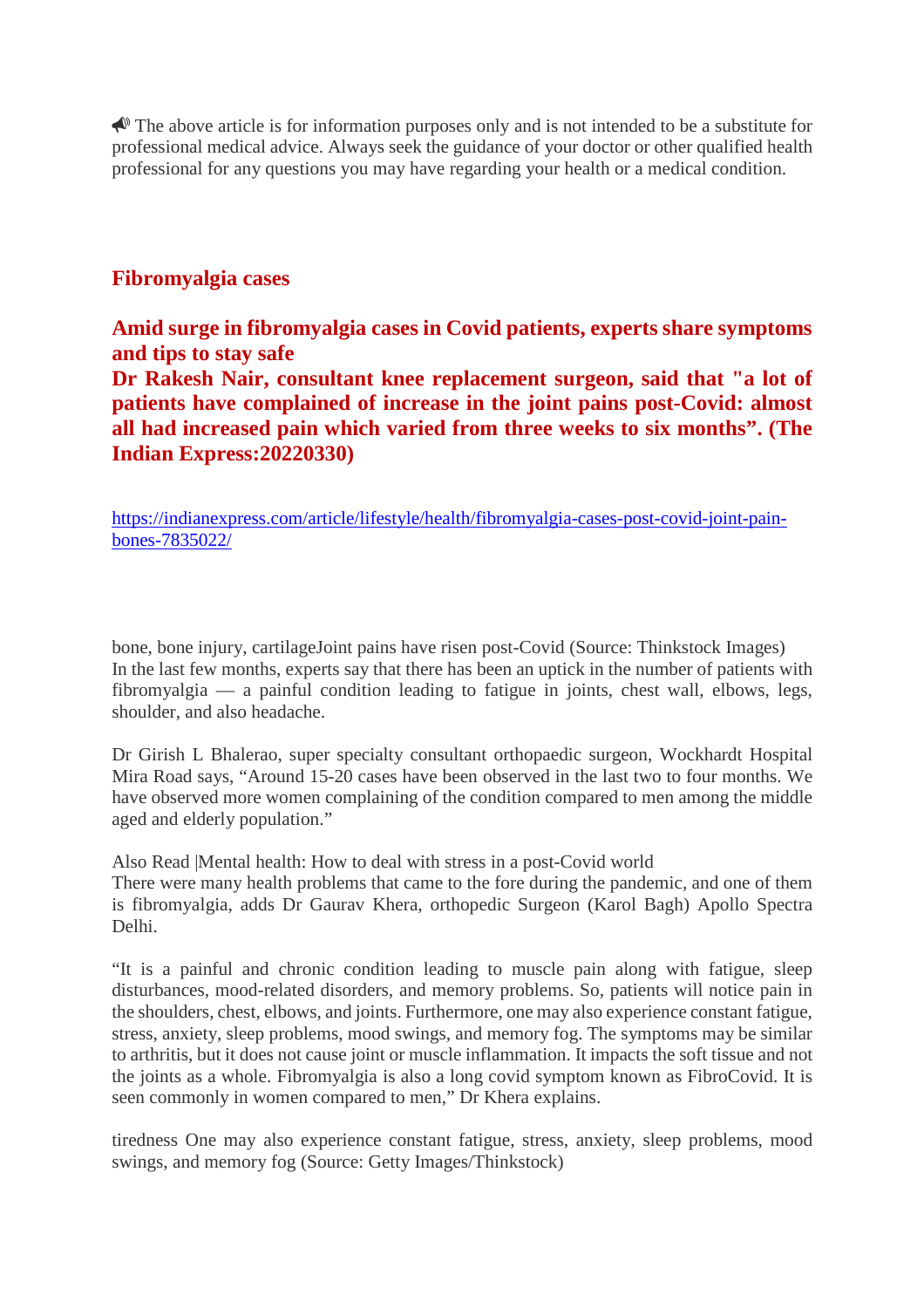$\triangle$  The above article is for information purposes only and is not intended to be a substitute for professional medical advice. Always seek the guidance of your doctor or other qualified health professional for any questions you may have regarding your health or a medical condition.

# **Fibromyalgia cases**

**Amid surge in fibromyalgia cases in Covid patients, experts share symptoms and tips to stay safe Dr Rakesh Nair, consultant knee replacement surgeon, said that "a lot of patients have complained of increase in the joint pains post-Covid: almost all had increased pain which varied from three weeks to six months". (The Indian Express:20220330)**

https://indianexpress.com/article/lifestyle/health/fibromyalgia-cases-post-covid-joint-painbones-7835022/

bone, bone injury, cartilageJoint pains have risen post-Covid (Source: Thinkstock Images) In the last few months, experts say that there has been an uptick in the number of patients with fibromyalgia — a painful condition leading to fatigue in joints, chest wall, elbows, legs, shoulder, and also headache.

Dr Girish L Bhalerao, super specialty consultant orthopaedic surgeon, Wockhardt Hospital Mira Road says, "Around 15-20 cases have been observed in the last two to four months. We have observed more women complaining of the condition compared to men among the middle aged and elderly population."

Also Read |Mental health: How to deal with stress in a post-Covid world

There were many health problems that came to the fore during the pandemic, and one of them is fibromyalgia, adds Dr Gaurav Khera, orthopedic Surgeon (Karol Bagh) Apollo Spectra Delhi.

"It is a painful and chronic condition leading to muscle pain along with fatigue, sleep disturbances, mood-related disorders, and memory problems. So, patients will notice pain in the shoulders, chest, elbows, and joints. Furthermore, one may also experience constant fatigue, stress, anxiety, sleep problems, mood swings, and memory fog. The symptoms may be similar to arthritis, but it does not cause joint or muscle inflammation. It impacts the soft tissue and not the joints as a whole. Fibromyalgia is also a long covid symptom known as FibroCovid. It is seen commonly in women compared to men," Dr Khera explains.

tiredness One may also experience constant fatigue, stress, anxiety, sleep problems, mood swings, and memory fog (Source: Getty Images/Thinkstock)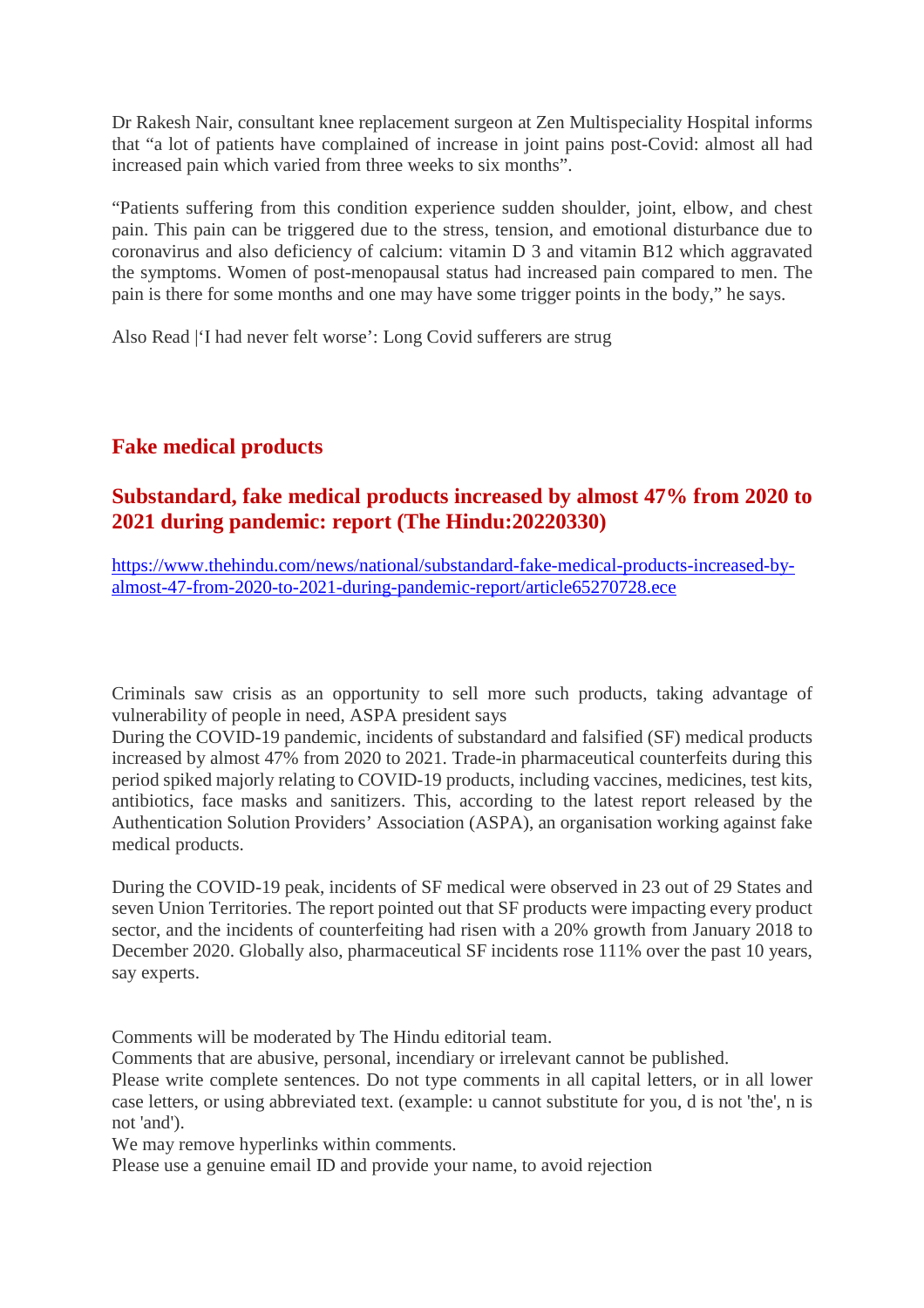Dr Rakesh Nair, consultant knee replacement surgeon at Zen Multispeciality Hospital informs that "a lot of patients have complained of increase in joint pains post-Covid: almost all had increased pain which varied from three weeks to six months".

"Patients suffering from this condition experience sudden shoulder, joint, elbow, and chest pain. This pain can be triggered due to the stress, tension, and emotional disturbance due to coronavirus and also deficiency of calcium: vitamin D 3 and vitamin B12 which aggravated the symptoms. Women of post-menopausal status had increased pain compared to men. The pain is there for some months and one may have some trigger points in the body," he says.

Also Read |'I had never felt worse': Long Covid sufferers are strug

# **Fake medical products**

# **Substandard, fake medical products increased by almost 47% from 2020 to 2021 during pandemic: report (The Hindu:20220330)**

https://www.thehindu.com/news/national/substandard-fake-medical-products-increased-byalmost-47-from-2020-to-2021-during-pandemic-report/article65270728.ece

Criminals saw crisis as an opportunity to sell more such products, taking advantage of vulnerability of people in need, ASPA president says

During the COVID-19 pandemic, incidents of substandard and falsified (SF) medical products increased by almost 47% from 2020 to 2021. Trade-in pharmaceutical counterfeits during this period spiked majorly relating to COVID-19 products, including vaccines, medicines, test kits, antibiotics, face masks and sanitizers. This, according to the latest report released by the Authentication Solution Providers' Association (ASPA), an organisation working against fake medical products.

During the COVID-19 peak, incidents of SF medical were observed in 23 out of 29 States and seven Union Territories. The report pointed out that SF products were impacting every product sector, and the incidents of counterfeiting had risen with a 20% growth from January 2018 to December 2020. Globally also, pharmaceutical SF incidents rose 111% over the past 10 years, say experts.

Comments will be moderated by The Hindu editorial team.

Comments that are abusive, personal, incendiary or irrelevant cannot be published.

Please write complete sentences. Do not type comments in all capital letters, or in all lower case letters, or using abbreviated text. (example: u cannot substitute for you, d is not 'the', n is not 'and').

We may remove hyperlinks within comments.

Please use a genuine email ID and provide your name, to avoid rejection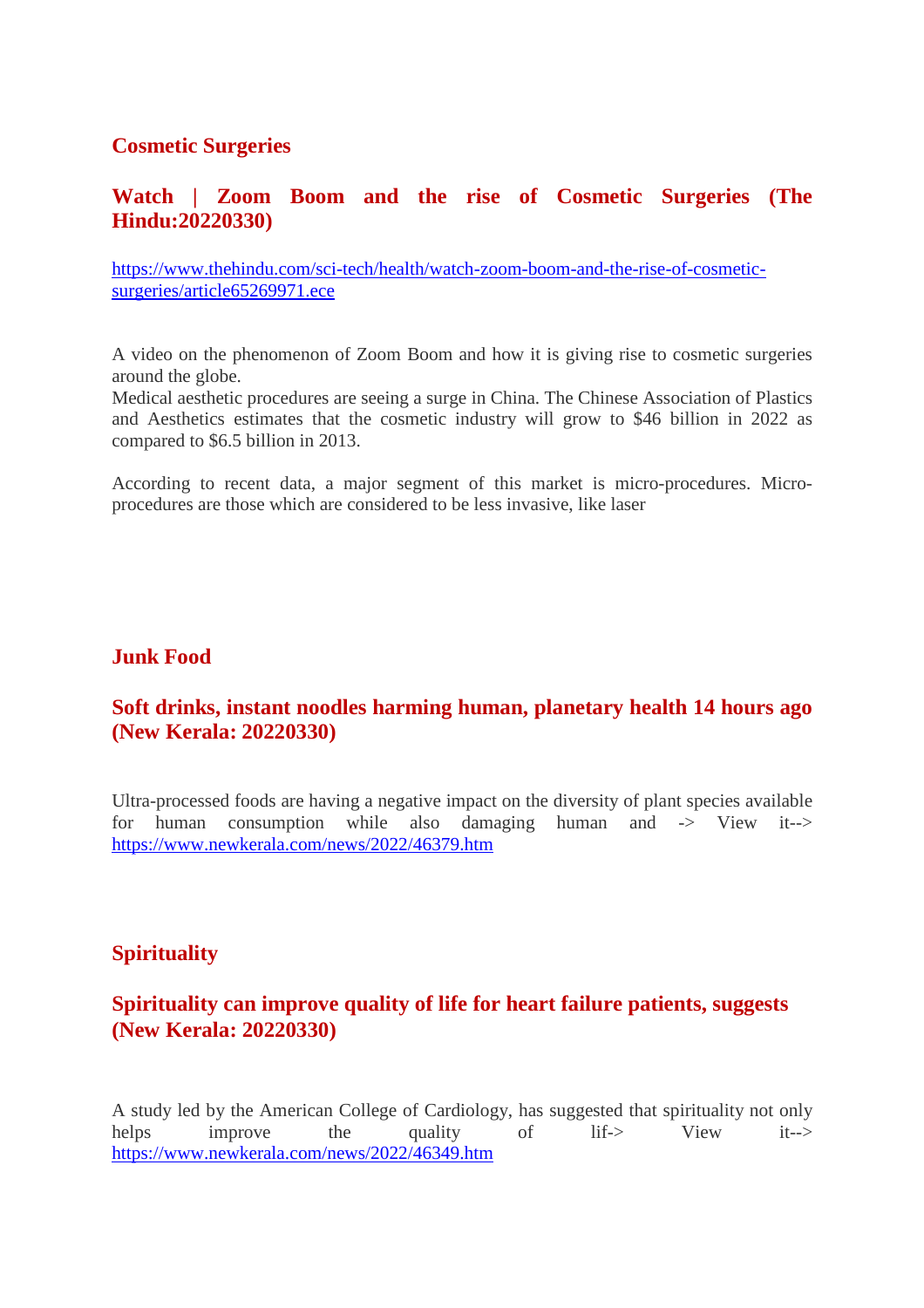# **Cosmetic Surgeries**

# **Watch | Zoom Boom and the rise of Cosmetic Surgeries (The Hindu:20220330)**

https://www.thehindu.com/sci-tech/health/watch-zoom-boom-and-the-rise-of-cosmeticsurgeries/article65269971.ece

A video on the phenomenon of Zoom Boom and how it is giving rise to cosmetic surgeries around the globe.

Medical aesthetic procedures are seeing a surge in China. The Chinese Association of Plastics and Aesthetics estimates that the cosmetic industry will grow to \$46 billion in 2022 as compared to \$6.5 billion in 2013.

According to recent data, a major segment of this market is micro-procedures. Microprocedures are those which are considered to be less invasive, like laser

# **Junk Food**

# **Soft drinks, instant noodles harming human, planetary health 14 hours ago (New Kerala: 20220330)**

Ultra-processed foods are having a negative impact on the diversity of plant species available for human consumption while also damaging human and -> View it--> https://www.newkerala.com/news/2022/46379.htm

# **Spirituality**

# **Spirituality can improve quality of life for heart failure patients, suggests (New Kerala: 20220330)**

A study led by the American College of Cardiology, has suggested that spirituality not only helps improve the quality of lif-> View it--> https://www.newkerala.com/news/2022/46349.htm